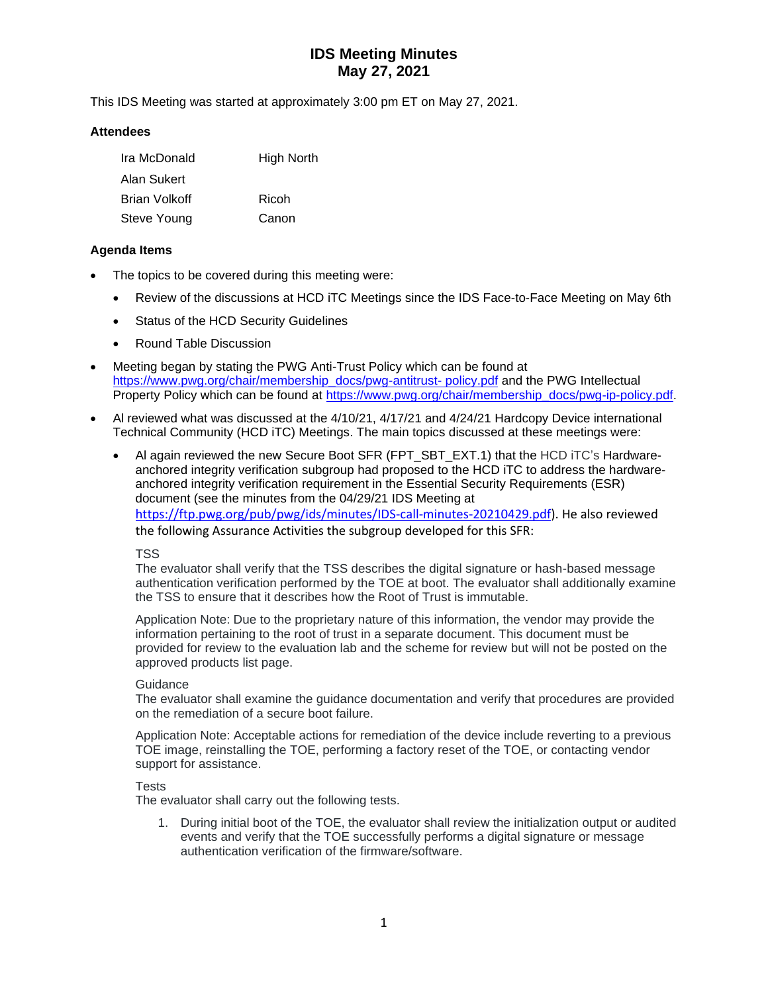This IDS Meeting was started at approximately 3:00 pm ET on May 27, 2021.

### **Attendees**

| Ira McDonald         | <b>High North</b> |
|----------------------|-------------------|
| Alan Sukert          |                   |
| <b>Brian Volkoff</b> | Ricoh             |
| Steve Young          | Canon             |

### **Agenda Items**

- The topics to be covered during this meeting were:
	- Review of the discussions at HCD iTC Meetings since the IDS Face-to-Face Meeting on May 6th
	- Status of the HCD Security Guidelines
	- Round Table Discussion
- Meeting began by stating the PWG Anti-Trust Policy which can be found at [https://www.pwg.org/chair/membership\\_docs/pwg-antitrust-](https://www.pwg.org/chair/membership_docs/pwg-antitrust-%20policy.pdf) policy.pdf and the PWG Intellectual Property Policy which can be found at [https://www.pwg.org/chair/membership\\_docs/pwg-ip-policy.pdf.](https://www.pwg.org/chair/membership_docs/pwg-ip-policy.pdf)
- Al reviewed what was discussed at the 4/10/21, 4/17/21 and 4/24/21 Hardcopy Device international Technical Community (HCD iTC) Meetings. The main topics discussed at these meetings were:
	- Al again reviewed the new Secure Boot SFR (FPT\_SBT\_EXT.1) that the HCD iTC's Hardwareanchored integrity verification subgroup had proposed to the HCD iTC to address the hardwareanchored integrity verification requirement in the Essential Security Requirements (ESR) document (see the minutes from the 04/29/21 IDS Meeting at [https://ftp.pwg.org/pub/pwg/ids/minutes/IDS-call-minutes-20210429.pdf\)](https://ftp.pwg.org/pub/pwg/ids/minutes/IDS-call-minutes-20210429.pdf). He also reviewed the following Assurance Activities the subgroup developed for this SFR:

#### TSS

The evaluator shall verify that the TSS describes the digital signature or hash-based message authentication verification performed by the TOE at boot. The evaluator shall additionally examine the TSS to ensure that it describes how the Root of Trust is immutable.

Application Note: Due to the proprietary nature of this information, the vendor may provide the information pertaining to the root of trust in a separate document. This document must be provided for review to the evaluation lab and the scheme for review but will not be posted on the approved products list page.

#### **Guidance**

The evaluator shall examine the guidance documentation and verify that procedures are provided on the remediation of a secure boot failure.

Application Note: Acceptable actions for remediation of the device include reverting to a previous TOE image, reinstalling the TOE, performing a factory reset of the TOE, or contacting vendor support for assistance.

## Tests

The evaluator shall carry out the following tests.

1. During initial boot of the TOE, the evaluator shall review the initialization output or audited events and verify that the TOE successfully performs a digital signature or message authentication verification of the firmware/software.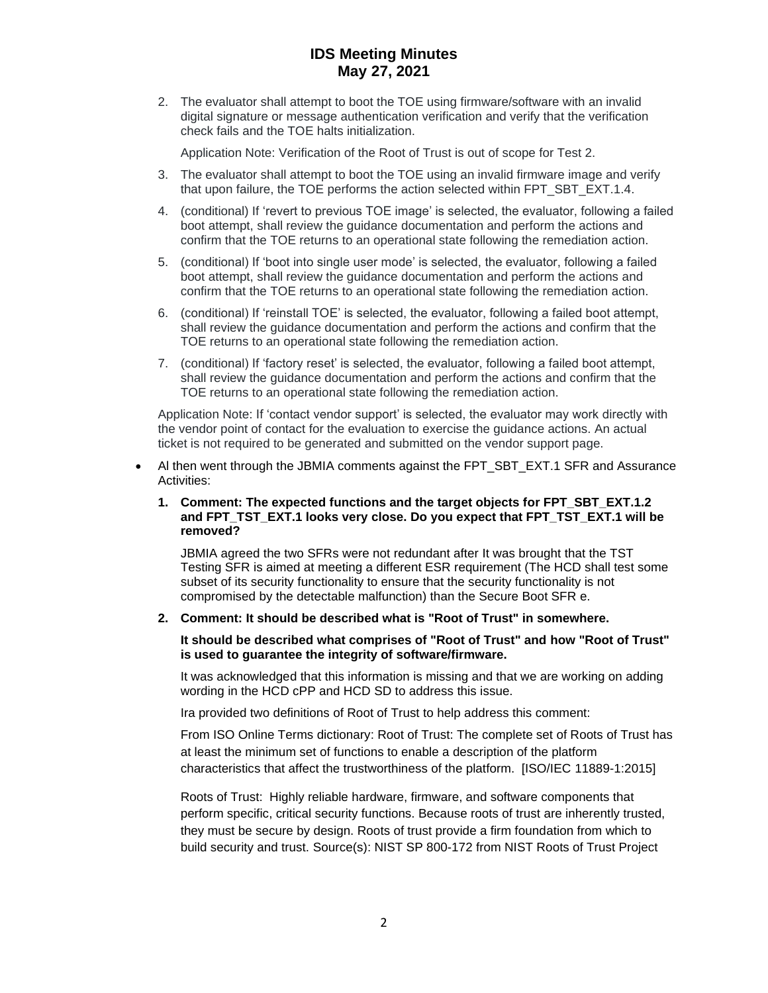2. The evaluator shall attempt to boot the TOE using firmware/software with an invalid digital signature or message authentication verification and verify that the verification check fails and the TOE halts initialization.

Application Note: Verification of the Root of Trust is out of scope for Test 2.

- 3. The evaluator shall attempt to boot the TOE using an invalid firmware image and verify that upon failure, the TOE performs the action selected within FPT\_SBT\_EXT.1.4.
- 4. (conditional) If 'revert to previous TOE image' is selected, the evaluator, following a failed boot attempt, shall review the guidance documentation and perform the actions and confirm that the TOE returns to an operational state following the remediation action.
- 5. (conditional) If 'boot into single user mode' is selected, the evaluator, following a failed boot attempt, shall review the guidance documentation and perform the actions and confirm that the TOE returns to an operational state following the remediation action.
- 6. (conditional) If 'reinstall TOE' is selected, the evaluator, following a failed boot attempt, shall review the guidance documentation and perform the actions and confirm that the TOE returns to an operational state following the remediation action.
- 7. (conditional) If 'factory reset' is selected, the evaluator, following a failed boot attempt, shall review the guidance documentation and perform the actions and confirm that the TOE returns to an operational state following the remediation action.

Application Note: If 'contact vendor support' is selected, the evaluator may work directly with the vendor point of contact for the evaluation to exercise the guidance actions. An actual ticket is not required to be generated and submitted on the vendor support page.

Al then went through the JBMIA comments against the FPT\_SBT\_EXT.1 SFR and Assurance Activities:

#### **1. Comment: The expected functions and the target objects for FPT\_SBT\_EXT.1.2 and FPT\_TST\_EXT.1 looks very close. Do you expect that FPT\_TST\_EXT.1 will be removed?**

JBMIA agreed the two SFRs were not redundant after It was brought that the TST Testing SFR is aimed at meeting a different ESR requirement (The HCD shall test some subset of its security functionality to ensure that the security functionality is not compromised by the detectable malfunction) than the Secure Boot SFR e.

#### **2. Comment: It should be described what is "Root of Trust" in somewhere.**

#### **It should be described what comprises of "Root of Trust" and how "Root of Trust" is used to guarantee the integrity of software/firmware.**

It was acknowledged that this information is missing and that we are working on adding wording in the HCD cPP and HCD SD to address this issue.

Ira provided two definitions of Root of Trust to help address this comment:

From ISO Online Terms dictionary: Root of Trust: The complete set of Roots of Trust has at least the minimum set of functions to enable a description of the platform characteristics that affect the trustworthiness of the platform. [ISO/IEC 11889-1:2015]

Roots of Trust: Highly reliable hardware, firmware, and software components that perform specific, critical security functions. Because roots of trust are inherently trusted, they must be secure by design. Roots of trust provide a firm foundation from which to build security and trust. Source(s): NIST SP 800-172 from NIST Roots of Trust Project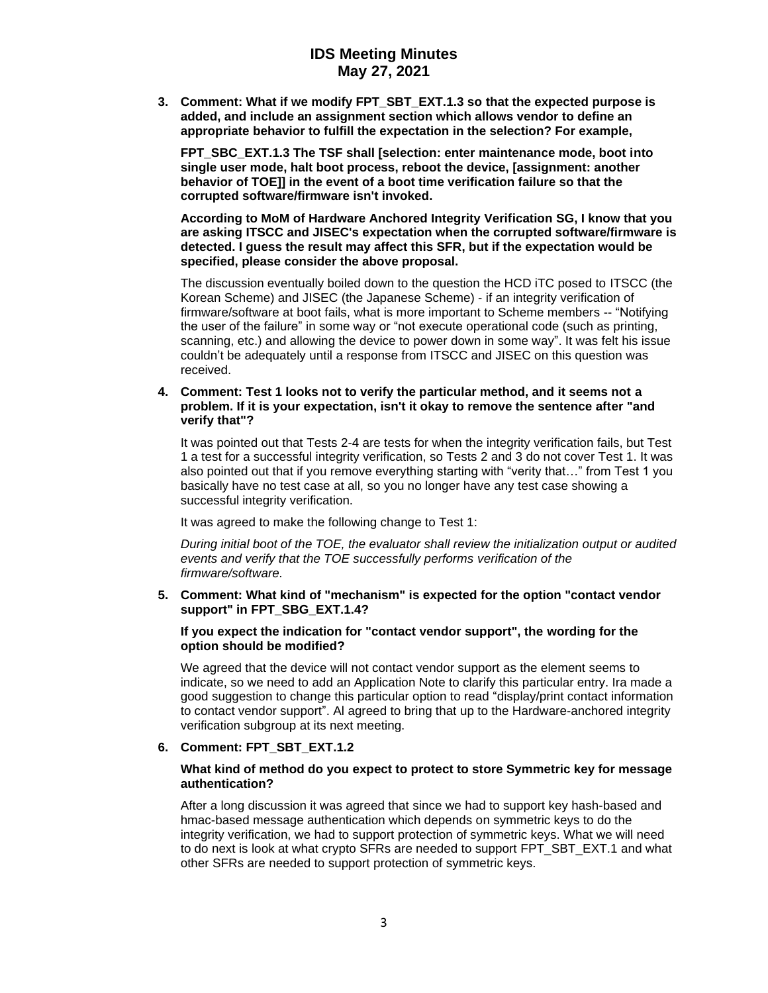**3. Comment: What if we modify FPT\_SBT\_EXT.1.3 so that the expected purpose is added, and include an assignment section which allows vendor to define an appropriate behavior to fulfill the expectation in the selection? For example,**

**FPT\_SBC\_EXT.1.3 The TSF shall [selection: enter maintenance mode, boot into single user mode, halt boot process, reboot the device, [assignment: another behavior of TOE]] in the event of a boot time verification failure so that the corrupted software/firmware isn't invoked.**

**According to MoM of Hardware Anchored Integrity Verification SG, I know that you are asking ITSCC and JISEC's expectation when the corrupted software/firmware is detected. I guess the result may affect this SFR, but if the expectation would be specified, please consider the above proposal.**

The discussion eventually boiled down to the question the HCD iTC posed to ITSCC (the Korean Scheme) and JISEC (the Japanese Scheme) - if an integrity verification of firmware/software at boot fails, what is more important to Scheme members -- "Notifying the user of the failure" in some way or "not execute operational code (such as printing, scanning, etc.) and allowing the device to power down in some way". It was felt his issue couldn't be adequately until a response from ITSCC and JISEC on this question was received.

**4. Comment: Test 1 looks not to verify the particular method, and it seems not a problem. If it is your expectation, isn't it okay to remove the sentence after "and verify that"?**

It was pointed out that Tests 2-4 are tests for when the integrity verification fails, but Test 1 a test for a successful integrity verification, so Tests 2 and 3 do not cover Test 1. It was also pointed out that if you remove everything starting with "verity that…" from Test 1 you basically have no test case at all, so you no longer have any test case showing a successful integrity verification.

It was agreed to make the following change to Test 1:

*During initial boot of the TOE, the evaluator shall review the initialization output or audited events and verify that the TOE successfully performs verification of the firmware/software.*

**5. Comment: What kind of "mechanism" is expected for the option "contact vendor support" in FPT\_SBG\_EXT.1.4?**

#### **If you expect the indication for "contact vendor support", the wording for the option should be modified?**

We agreed that the device will not contact vendor support as the element seems to indicate, so we need to add an Application Note to clarify this particular entry. Ira made a good suggestion to change this particular option to read "display/print contact information to contact vendor support". Al agreed to bring that up to the Hardware-anchored integrity verification subgroup at its next meeting.

#### **6. Comment: FPT\_SBT\_EXT.1.2**

#### **What kind of method do you expect to protect to store Symmetric key for message authentication?**

After a long discussion it was agreed that since we had to support key hash-based and hmac-based message authentication which depends on symmetric keys to do the integrity verification, we had to support protection of symmetric keys. What we will need to do next is look at what crypto SFRs are needed to support FPT\_SBT\_EXT.1 and what other SFRs are needed to support protection of symmetric keys.